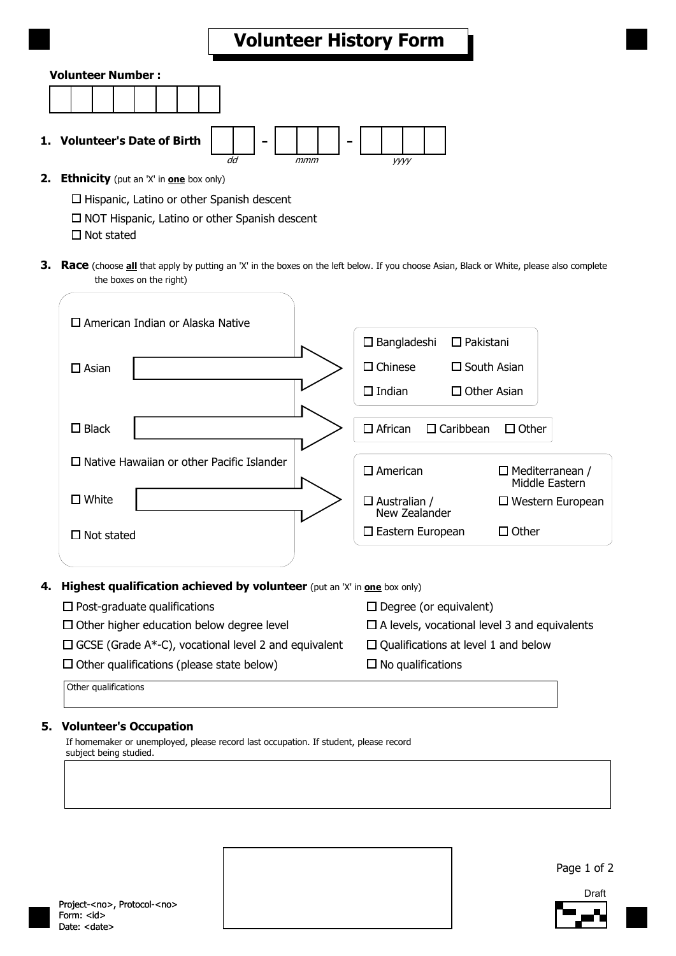## **Volunteer History Form**

### **Volunteer Number :**

| ___ |  |  |  |
|-----|--|--|--|
|     |  |  |  |
|     |  |  |  |
|     |  |  |  |
|     |  |  |  |
|     |  |  |  |
|     |  |  |  |
|     |  |  |  |
|     |  |  |  |
|     |  |  |  |

**1. Volunteer's Date of Birth** 

dd mmm yyyy

**2. Ethnicity** (put an 'X' in **one** box only)

 $\Box$  Hispanic, Latino or other Spanish descent

 $\square$  NOT Hispanic, Latino or other Spanish descent

 $\square$  Not stated

**3. Race** (choose **all** that apply by putting an 'X' in the boxes on the left below. If you choose Asian, Black or White, please also complete the boxes on the right)



### **4. Highest qualification achieved by volunteer** (put an 'X' in **one** box only)

| $\Box$ Post-graduate qualifications                         | $\Box$ Degree (or equivalent)                       |
|-------------------------------------------------------------|-----------------------------------------------------|
| $\Box$ Other higher education below degree level            | $\Box$ A levels, vocational level 3 and equivalents |
| $\Box$ GCSE (Grade A*-C), vocational level 2 and equivalent | $\Box$ Qualifications at level 1 and below          |
| $\Box$ Other qualifications (please state below)            | $\Box$ No qualifications                            |
| Other qualifications                                        |                                                     |

### **5. Volunteer's Occupation**

If homemaker or unemployed, please record last occupation. If student, please record subject being studied.

Project-<no>, Protocol-<no> Form:  $<$  $id$  $>$ Date: <date>

Page 1 of 2